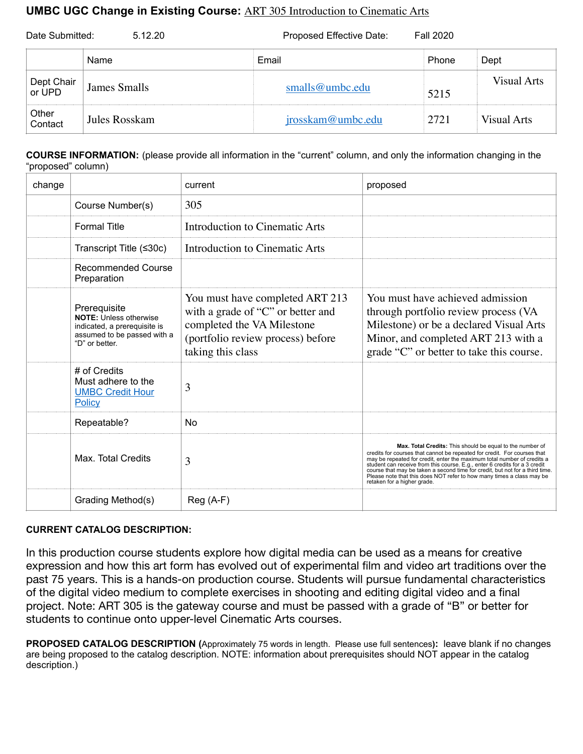## **UMBC UGC Change in Existing Course:** ART 305 Introduction to Cinematic Arts

| Date Submitted:<br>5.12.20 |               | Proposed Effective Date:<br><b>Fall 2020</b> |       |             |
|----------------------------|---------------|----------------------------------------------|-------|-------------|
|                            | Name          | Email                                        | Phone | Dept        |
| Dept Chair<br>or UPD       | James Smalls  | smalls@umbc.edu                              | 5215  | Visual Arts |
| Other<br>Contact           | Jules Rosskam | jrosskam@umbc.edu                            | 2721  | Visual Arts |

**COURSE INFORMATION:** (please provide all information in the "current" column, and only the information changing in the "proposed" column)

| change |                                                                                                                                | current                                                                                                                                                      | proposed                                                                                                                                                                                                                                                                                                                                                                                                                                                                               |
|--------|--------------------------------------------------------------------------------------------------------------------------------|--------------------------------------------------------------------------------------------------------------------------------------------------------------|----------------------------------------------------------------------------------------------------------------------------------------------------------------------------------------------------------------------------------------------------------------------------------------------------------------------------------------------------------------------------------------------------------------------------------------------------------------------------------------|
|        | Course Number(s)                                                                                                               | 305                                                                                                                                                          |                                                                                                                                                                                                                                                                                                                                                                                                                                                                                        |
|        | <b>Formal Title</b>                                                                                                            | Introduction to Cinematic Arts                                                                                                                               |                                                                                                                                                                                                                                                                                                                                                                                                                                                                                        |
|        | Transcript Title (≤30c)                                                                                                        | Introduction to Cinematic Arts                                                                                                                               |                                                                                                                                                                                                                                                                                                                                                                                                                                                                                        |
|        | Recommended Course<br>Preparation                                                                                              |                                                                                                                                                              |                                                                                                                                                                                                                                                                                                                                                                                                                                                                                        |
|        | Prerequisite<br><b>NOTE: Unless otherwise</b><br>indicated, a prerequisite is<br>assumed to be passed with a<br>"D" or better. | You must have completed ART 213<br>with a grade of "C" or better and<br>completed the VA Milestone<br>(portfolio review process) before<br>taking this class | You must have achieved admission<br>through portfolio review process (VA<br>Milestone) or be a declared Visual Arts<br>Minor, and completed ART 213 with a<br>grade "C" or better to take this course.                                                                                                                                                                                                                                                                                 |
|        | # of Credits<br>Must adhere to the<br><b>UMBC Credit Hour</b><br><b>Policy</b>                                                 | 3                                                                                                                                                            |                                                                                                                                                                                                                                                                                                                                                                                                                                                                                        |
|        | Repeatable?                                                                                                                    | N <sub>0</sub>                                                                                                                                               |                                                                                                                                                                                                                                                                                                                                                                                                                                                                                        |
|        | Max. Total Credits                                                                                                             | 3                                                                                                                                                            | Max. Total Credits: This should be equal to the number of<br>credits for courses that cannot be repeated for credit. For courses that<br>may be repeated for credit, enter the maximum total number of credits a<br>student can receive from this course. E.g., enter 6 credits for a 3 credit<br>course that may be taken a second time for credit, but not for a third time.<br>Please note that this does NOT refer to how many times a class may be<br>retaken for a higher grade. |
|        | Grading Method(s)                                                                                                              | $Reg(A-F)$                                                                                                                                                   |                                                                                                                                                                                                                                                                                                                                                                                                                                                                                        |

## **CURRENT CATALOG DESCRIPTION:**

In this production course students explore how digital media can be used as a means for creative expression and how this art form has evolved out of experimental film and video art traditions over the past 75 years. This is a hands-on production course. Students will pursue fundamental characteristics of the digital video medium to complete exercises in shooting and editing digital video and a final project. Note: ART 305 is the gateway course and must be passed with a grade of "B" or better for students to continue onto upper-level Cinematic Arts courses.

**PROPOSED CATALOG DESCRIPTION (**Approximately 75 words in length. Please use full sentences**):** leave blank if no changes are being proposed to the catalog description. NOTE: information about prerequisites should NOT appear in the catalog description.)